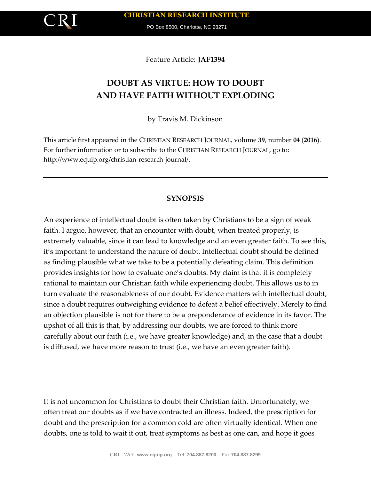PO Box 8500, Charlotte, NC 28271

Feature Article: **JAF1394**

# **DOUBT AS VIRTUE: HOW TO DOUBT AND HAVE FAITH WITHOUT EXPLODING**

by Travis M. Dickinson

This article first appeared in the CHRISTIAN RESEARCH JOURNAL, volume **39**, number **04** (**2016**). For further information or to subscribe to the CHRISTIAN RESEARCH JOURNAL, go to: http://www.equip.org/christian-research-journal/.

## **SYNOPSIS**

An experience of intellectual doubt is often taken by Christians to be a sign of weak faith. I argue, however, that an encounter with doubt, when treated properly, is extremely valuable, since it can lead to knowledge and an even greater faith. To see this, it's important to understand the nature of doubt. Intellectual doubt should be defined as finding plausible what we take to be a potentially defeating claim. This definition provides insights for how to evaluate one's doubts. My claim is that it is completely rational to maintain our Christian faith while experiencing doubt. This allows us to in turn evaluate the reasonableness of our doubt. Evidence matters with intellectual doubt, since a doubt requires outweighing evidence to defeat a belief effectively. Merely to find an objection plausible is not for there to be a preponderance of evidence in its favor. The upshot of all this is that, by addressing our doubts, we are forced to think more carefully about our faith (i.e., we have greater knowledge) and, in the case that a doubt is diffused, we have more reason to trust (i.e., we have an even greater faith).

It is not uncommon for Christians to doubt their Christian faith. Unfortunately, we often treat our doubts as if we have contracted an illness. Indeed, the prescription for doubt and the prescription for a common cold are often virtually identical. When one doubts, one is told to wait it out, treat symptoms as best as one can, and hope it goes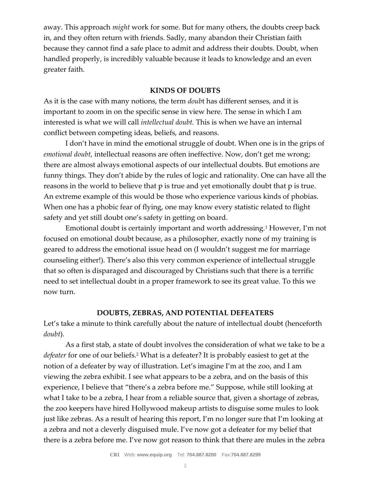away. This approach *might* work for some. But for many others, the doubts creep back in, and they often return with friends. Sadly, many abandon their Christian faith because they cannot find a safe place to admit and address their doubts. Doubt, when handled properly, is incredibly valuable because it leads to knowledge and an even greater faith.

## **KINDS OF DOUBTS**

As it is the case with many notions, the term *doub*t has different senses, and it is important to zoom in on the specific sense in view here. The sense in which I am interested is what we will call *intellectual doubt.* This is when we have an internal conflict between competing ideas, beliefs, and reasons.

I don't have in mind the emotional struggle of doubt. When one is in the grips of *emotional doubt*, intellectual reasons are often ineffective. Now, don't get me wrong; there are almost always emotional aspects of our intellectual doubts. But emotions are funny things. They don't abide by the rules of logic and rationality. One can have all the reasons in the world to believe that p is true and yet emotionally doubt that p is true. An extreme example of this would be those who experience various kinds of phobias. When one has a phobic fear of flying, one may know every statistic related to flight safety and yet still doubt one's safety in getting on board.

Emotional doubt is certainly important and worth addressing.<sup>1</sup> However, I'm not focused on emotional doubt because, as a philosopher, exactly none of my training is geared to address the emotional issue head on (I wouldn't suggest me for marriage counseling either!). There's also this very common experience of intellectual struggle that so often is disparaged and discouraged by Christians such that there is a terrific need to set intellectual doubt in a proper framework to see its great value. To this we now turn.

#### **DOUBTS, ZEBRAS, AND POTENTIAL DEFEATERS**

Let's take a minute to think carefully about the nature of intellectual doubt (henceforth *doubt*).

As a first stab, a state of doubt involves the consideration of what we take to be a *defeater* for one of our beliefs.<sup>2</sup> What is a defeater? It is probably easiest to get at the notion of a defeater by way of illustration. Let's imagine I'm at the zoo, and I am viewing the zebra exhibit. I see what appears to be a zebra, and on the basis of this experience, I believe that "there's a zebra before me." Suppose, while still looking at what I take to be a zebra, I hear from a reliable source that, given a shortage of zebras, the zoo keepers have hired Hollywood makeup artists to disguise some mules to look just like zebras. As a result of hearing this report, I'm no longer sure that I'm looking at a zebra and not a cleverly disguised mule. I've now got a defeater for my belief that there is a zebra before me. I've now got reason to think that there are mules in the zebra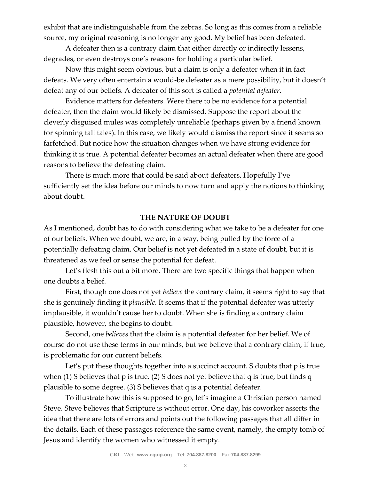exhibit that are indistinguishable from the zebras. So long as this comes from a reliable source, my original reasoning is no longer any good. My belief has been defeated.

A defeater then is a contrary claim that either directly or indirectly lessens, degrades, or even destroys one's reasons for holding a particular belief.

Now this might seem obvious, but a claim is only a defeater when it in fact defeats. We very often entertain a would-be defeater as a mere possibility, but it doesn't defeat any of our beliefs. A defeater of this sort is called a *potential defeater*.

Evidence matters for defeaters. Were there to be no evidence for a potential defeater, then the claim would likely be dismissed. Suppose the report about the cleverly disguised mules was completely unreliable (perhaps given by a friend known for spinning tall tales). In this case, we likely would dismiss the report since it seems so farfetched. But notice how the situation changes when we have strong evidence for thinking it is true. A potential defeater becomes an actual defeater when there are good reasons to believe the defeating claim.

There is much more that could be said about defeaters. Hopefully I've sufficiently set the idea before our minds to now turn and apply the notions to thinking about doubt.

#### **THE NATURE OF DOUBT**

As I mentioned, doubt has to do with considering what we take to be a defeater for one of our beliefs. When we doubt, we are, in a way, being pulled by the force of a potentially defeating claim. Our belief is not yet defeated in a state of doubt, but it is threatened as we feel or sense the potential for defeat.

Let's flesh this out a bit more. There are two specific things that happen when one doubts a belief.

First, though one does not yet *believe* the contrary claim, it seems right to say that she is genuinely finding it *plausible*. It seems that if the potential defeater was utterly implausible, it wouldn't cause her to doubt. When she is finding a contrary claim plausible, however, she begins to doubt.

Second, one *believes* that the claim is a potential defeater for her belief. We of course do not use these terms in our minds, but we believe that a contrary claim, if true, is problematic for our current beliefs.

Let's put these thoughts together into a succinct account. S doubts that p is true when (1) S believes that p is true. (2) S does not yet believe that q is true, but finds q plausible to some degree. (3) S believes that q is a potential defeater.

To illustrate how this is supposed to go, let's imagine a Christian person named Steve. Steve believes that Scripture is without error. One day, his coworker asserts the idea that there are lots of errors and points out the following passages that all differ in the details. Each of these passages reference the same event, namely, the empty tomb of Jesus and identify the women who witnessed it empty.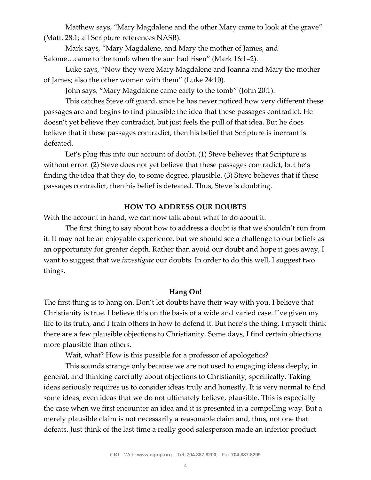Matthew says, "Mary Magdalene and the other Mary came to look at the grave" (Matt. 28:1; all Scripture references NASB).

Mark says, "Mary Magdalene, and Mary the mother of James, and Salome…came to the tomb when the sun had risen" (Mark 16:1–2).

Luke says, "Now they were Mary Magdalene and Joanna and Mary the mother of James; also the other women with them" (Luke 24:10).

John says, "Mary Magdalene came early to the tomb" (John 20:1).

This catches Steve off guard, since he has never noticed how very different these passages are and begins to find plausible the idea that these passages contradict. He doesn't yet believe they contradict, but just feels the pull of that idea. But he does believe that if these passages contradict, then his belief that Scripture is inerrant is defeated.

Let's plug this into our account of doubt. (1) Steve believes that Scripture is without error. (2) Steve does not yet believe that these passages contradict, but he's finding the idea that they do, to some degree, plausible. (3) Steve believes that if these passages contradict, then his belief is defeated. Thus, Steve is doubting.

#### **HOW TO ADDRESS OUR DOUBTS**

With the account in hand, we can now talk about what to do about it.

The first thing to say about how to address a doubt is that we shouldn't run from it. It may not be an enjoyable experience, but we should see a challenge to our beliefs as an opportunity for greater depth. Rather than avoid our doubt and hope it goes away, I want to suggest that we *investigate* our doubts. In order to do this well, I suggest two things.

#### **Hang On!**

The first thing is to hang on. Don't let doubts have their way with you. I believe that Christianity is true. I believe this on the basis of a wide and varied case. I've given my life to its truth, and I train others in how to defend it. But here's the thing. I myself think there are a few plausible objections to Christianity. Some days, I find certain objections more plausible than others.

Wait, what? How is this possible for a professor of apologetics?

This sounds strange only because we are not used to engaging ideas deeply, in general, and thinking carefully about objections to Christianity, specifically. Taking ideas seriously requires us to consider ideas truly and honestly. It is very normal to find some ideas, even ideas that we do not ultimately believe, plausible. This is especially the case when we first encounter an idea and it is presented in a compelling way. But a merely plausible claim is not necessarily a reasonable claim and, thus, not one that defeats. Just think of the last time a really good salesperson made an inferior product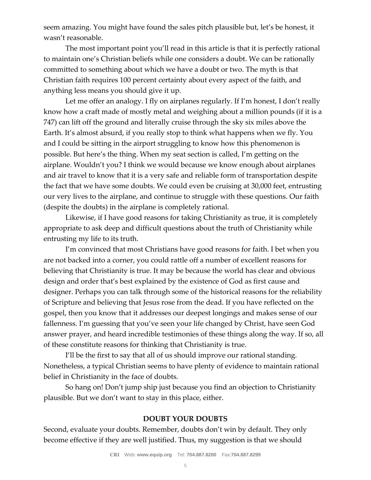seem amazing. You might have found the sales pitch plausible but, let's be honest, it wasn't reasonable.

The most important point you'll read in this article is that it is perfectly rational to maintain one's Christian beliefs while one considers a doubt. We can be rationally committed to something about which we have a doubt or two. The myth is that Christian faith requires 100 percent certainty about every aspect of the faith, and anything less means you should give it up.

Let me offer an analogy. I fly on airplanes regularly. If I'm honest, I don't really know how a craft made of mostly metal and weighing about a million pounds (if it is a 747) can lift off the ground and literally cruise through the sky six miles above the Earth. It's almost absurd, if you really stop to think what happens when we fly. You and I could be sitting in the airport struggling to know how this phenomenon is possible. But here's the thing. When my seat section is called, I'm getting on the airplane. Wouldn't you? I think we would because we know enough about airplanes and air travel to know that it is a very safe and reliable form of transportation despite the fact that we have some doubts. We could even be cruising at 30,000 feet, entrusting our very lives to the airplane, and continue to struggle with these questions. Our faith (despite the doubts) in the airplane is completely rational.

Likewise, if I have good reasons for taking Christianity as true, it is completely appropriate to ask deep and difficult questions about the truth of Christianity while entrusting my life to its truth.

I'm convinced that most Christians have good reasons for faith. I bet when you are not backed into a corner, you could rattle off a number of excellent reasons for believing that Christianity is true. It may be because the world has clear and obvious design and order that's best explained by the existence of God as first cause and designer. Perhaps you can talk through some of the historical reasons for the reliability of Scripture and believing that Jesus rose from the dead. If you have reflected on the gospel, then you know that it addresses our deepest longings and makes sense of our fallenness. I'm guessing that you've seen your life changed by Christ, have seen God answer prayer, and heard incredible testimonies of these things along the way. If so, all of these constitute reasons for thinking that Christianity is true.

I'll be the first to say that all of us should improve our rational standing. Nonetheless, a typical Christian seems to have plenty of evidence to maintain rational belief in Christianity in the face of doubts.

So hang on! Don't jump ship just because you find an objection to Christianity plausible. But we don't want to stay in this place, either.

## **DOUBT YOUR DOUBTS**

Second, evaluate your doubts. Remember, doubts don't win by default. They only become effective if they are well justified. Thus, my suggestion is that we should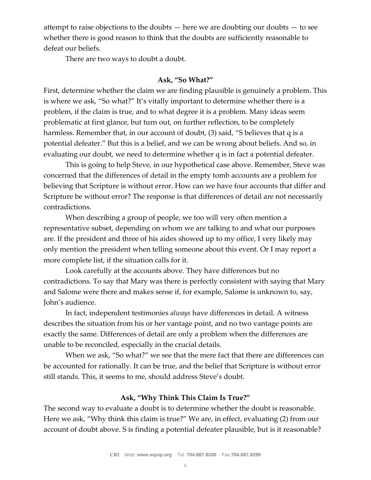attempt to raise objections to the doubts  $-$  here we are doubting our doubts  $-$  to see whether there is good reason to think that the doubts are sufficiently reasonable to defeat our beliefs.

There are two ways to doubt a doubt.

## **Ask, "So What?"**

First, determine whether the claim we are finding plausible is genuinely a problem. This is where we ask, "So what?" It's vitally important to determine whether there is a problem, if the claim is true, and to what degree it is a problem. Many ideas seem problematic at first glance, but turn out, on further reflection, to be completely harmless. Remember that, in our account of doubt, (3) said, "S believes that q is a potential defeater." But this is a belief, and we can be wrong about beliefs. And so, in evaluating our doubt, we need to determine whether q is in fact a potential defeater.

This is going to help Steve, in our hypothetical case above. Remember, Steve was concerned that the differences of detail in the empty tomb accounts are a problem for believing that Scripture is without error. How can we have four accounts that differ and Scripture be without error? The response is that differences of detail are not necessarily contradictions.

When describing a group of people, we too will very often mention a representative subset, depending on whom we are talking to and what our purposes are. If the president and three of his aides showed up to my office, I very likely may only mention the president when telling someone about this event. Or I may report a more complete list, if the situation calls for it.

Look carefully at the accounts above. They have differences but no contradictions. To say that Mary was there is perfectly consistent with saying that Mary and Salome were there and makes sense if, for example, Salome is unknown to, say, John's audience.

In fact, independent testimonies *always* have differences in detail. A witness describes the situation from his or her vantage point, and no two vantage points are exactly the same. Differences of detail are only a problem when the differences are unable to be reconciled, especially in the crucial details.

When we ask, "So what?" we see that the mere fact that there are differences can be accounted for rationally. It can be true, and the belief that Scripture is without error still stands. This, it seems to me, should address Steve's doubt.

## **Ask, "Why Think This Claim Is True?"**

The second way to evaluate a doubt is to determine whether the doubt is reasonable. Here we ask, "Why think this claim is true?" We are, in effect, evaluating (2) from our account of doubt above. S is finding a potential defeater plausible, but is it reasonable?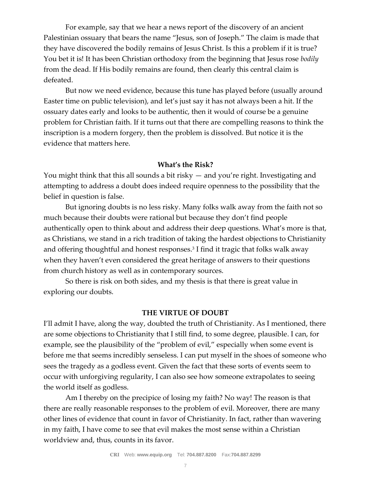For example, say that we hear a news report of the discovery of an ancient Palestinian ossuary that bears the name "Jesus, son of Joseph." The claim is made that they have discovered the bodily remains of Jesus Christ. Is this a problem if it is true? You bet it is! It has been Christian orthodoxy from the beginning that Jesus rose *bodily* from the dead. If His bodily remains are found, then clearly this central claim is defeated.

But now we need evidence, because this tune has played before (usually around Easter time on public television), and let's just say it has not always been a hit. If the ossuary dates early and looks to be authentic, then it would of course be a genuine problem for Christian faith. If it turns out that there are compelling reasons to think the inscription is a modern forgery, then the problem is dissolved. But notice it is the evidence that matters here.

#### **What's the Risk?**

You might think that this all sounds a bit risky — and you're right. Investigating and attempting to address a doubt does indeed require openness to the possibility that the belief in question is false.

But ignoring doubts is no less risky. Many folks walk away from the faith not so much because their doubts were rational but because they don't find people authentically open to think about and address their deep questions. What's more is that, as Christians, we stand in a rich tradition of taking the hardest objections to Christianity and offering thoughtful and honest responses.<sup>3</sup> I find it tragic that folks walk away when they haven't even considered the great heritage of answers to their questions from church history as well as in contemporary sources.

So there is risk on both sides, and my thesis is that there is great value in exploring our doubts.

#### **THE VIRTUE OF DOUBT**

I'll admit I have, along the way, doubted the truth of Christianity. As I mentioned, there are some objections to Christianity that I still find, to some degree, plausible. I can, for example, see the plausibility of the "problem of evil," especially when some event is before me that seems incredibly senseless. I can put myself in the shoes of someone who sees the tragedy as a godless event. Given the fact that these sorts of events seem to occur with unforgiving regularity, I can also see how someone extrapolates to seeing the world itself as godless.

Am I thereby on the precipice of losing my faith? No way! The reason is that there are really reasonable responses to the problem of evil. Moreover, there are many other lines of evidence that count in favor of Christianity. In fact, rather than wavering in my faith, I have come to see that evil makes the most sense within a Christian worldview and, thus, counts in its favor.